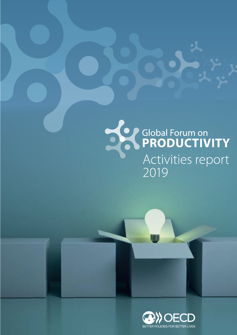# Se Clobal Forum on Activities report

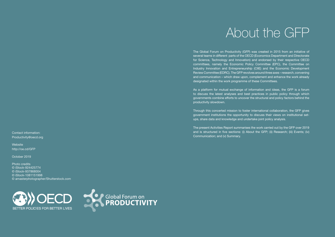# About the GFP

The Global Forum on Productivity (GFP) was created in 2015 from an initiative of several teams in different parts of the OECD (Economics Department and Directorate for Science, Technology and Innovation) and endorsed by their respective OECD committees, namely the Economic Policy Committee (EPC), the Committee on Industry Innovation and Entrepreneurship (CIIE) and the Economic Development Review Committee (EDRC). The GFP revolves around three axes – research, convening and communication – which draw upon, complement and enhance the work already designated within the work programme of these Committees.

**Website** <http://oe.cd/GFP> As a platform for mutual exchange of information and ideas, the GFP is a forum to discuss the latest analyses and best practices in public policy through which governments combine efforts to uncover the structural and policy factors behind the productivity slowdown.

Through this concerted mission to foster international collaboration, the GFP gives government institutions the opportunity to discuss their views on institutional setups, share data and knowledge and undertake joint policy analysis.

The present Activities Report summarises the work carried out by the GFP over 2019 and is structured in five sections: (i) About the GFP; (ii) Research; (iii) Events; (iv) Communication; and (v) Summary.

Contact information: [Productivity@oecd.org](mailto:Productivity%40oecd.org?subject=)

October 2019

Photo credits © iStock-924425774 © iStock-937868004 © iStock-1081151998 © amasterphotographer/Shutterstock.com



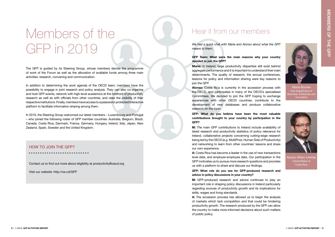### HOW TO JOIN THE GFP?

. . . . . . . . . . . . . . . . .

Contact us to fin[d out more about e](http://oe.cd/GFP)ligibility at productivity@oecd.org

Visit our website: http://oe.cd/GFP

# Members of the GFP in 2019

### Hear it from our members

The GFP is guided by its Steering Group, whose members decide the programme of work of the Forum as well as the allocation of available funds among three main activities: research, convening and communication.

In addition to determining the work agenda of the OECD team, members have the possibility to engage in joint research and policy analysis. They can also co-organise and host GFP events, network with high-level academics at the forefront of productivity research as well as with officials from other countries, and raise the visibility of their respective institutions. Finally, members have access to a password-protected interactive platform to facilitate information-sharing among them.

### GFP Team: What were the main reasons why your country decided to join the GFP?

Marie: In Ireland, large productivity disparities still exist behind aggregate performance and it is important to understand their main determinants. The quality of research, the annual conferences, lessons for policy and information sharing were key reasons to join the GFP.

In 2019, the Steering Group welcomed our latest members – Luxembourg and Portugal – who joined the following roster of GFP member countries: Australia, Belgium, Brazil, Canada, Costa Rica, Denmark, France, Germany, Hungary, Ireland, Italy, Japan, New Zealand, Spain, Sweden and the United Kingdom.

*We had a quick chat with Marie and Alonso about what the GFP means to them.* 

M: GFP-produced research and advice continues to play an important role in shaping policy discussions in Ireland particularly regarding sources of productivity growth and its implications for skills, wages and living standards.

A: The accession process has allowed us to begin the analysis of markets which lack competition and that could be hindering productivity growth. The research produced by the GFP can allow the country to make more informed decisions about such matters of public policy.

Alonso: Costa Rica is currently in the accession process with the OECD, and participates in many of the OECD's specialised Committees. We decided to join the GFP hoping to exchange experiences with other OECD countries, contribute to the development of new databases and produce collaborative research on the topic.

GFP: What do you believe have been the most valuable contributions brought to your country by participation in the GFP?

M: The main GFP contributions to Ireland include availability of latest research and productivity statistics of policy relevance for Ireland, collaborative projects concerning cutting-edge research being led by the OECD (e.g. MultiProd, Human Side of Productivity) and networking to learn from other countries' lessons and share our own experience.

A: Costa Rica has become a leader in the use of new transactions level data, and employer-employee data. Our participation in the GFP motivates us to pursue more research questions and provides us with a platform to share and discuss our findings.

GFP: What role do you see for GFP-produced research and advice in policy discussions in your country?



Marie Bourke Irish Department of usiness, Enterprise and Innovation



Alonso Alfaro-Ureñas Central Bank of Costa Rica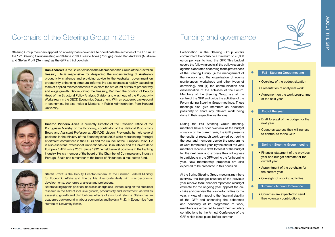## Co-chairs of the Steering Group in 2019 Funding and governance

Steering Group members appoint on a yearly basis co-chairs to coordinate the activities of the Forum. At the 12<sup>th</sup> Steering Group meeting on 19 June 2019, Ricardo Alves (Portugal) joined Dan Andrews (Australia) and Stefan Profit (Germany) as the GFP's third co-chair.



Participation in the Steering Group entails commitment to contribute a minimum of 25,000 euros per year to fund the GFP. This budget covers the following costs: (i) the policy research agenda elaborated according to the preferences of the Steering Group, (ii) the management of the network and the organization of events (conferences, workshops and other types of convening), and (iii) the communication and dissemination of the activities of the Forum. Members of the Steering Group are at the centre of the GFP and guide the activities of the Forum during Steering Group meetings. These meetings also give members an additional possibility to share any relevant work being done in their respective institutions.

During the Fall Steering Group meeting, members have a brief overview of the budget situation of the current year, the GFP presents the results of research work carried out during the year and members decide the programme of work for the next year. By the end of the year, members receive a draft forecast of the budget for the next year and express their willingness to participate in the GFP during the forthcoming year. New membership proposals are also expected to be presented in this occasion.

At the Spring Steering Group meeting, members overview the budget situation of the previous year, receive its full financial report and a budget estimate for the ongoing year, appoint the cochairs and overview the planned activities for the year. In view of improving the financial stability of the GFP and enhancing the coherence and continuity of its programme of work, members are expected to send their voluntary contributions by the Annual Conference of the GFP which takes place before summer.



### Fall - Steering Group meeting

**Stefan Profit** is the Deputy Director-General at the German Federal Ministry for Economic Affairs and Energy. His directorate deals with macroeconomic developments, economic analyses and projections.

- Overview of the budget situation
- Presentation of analytical work
- Agreement on the work programme of the next year

### End of the year

- Draft forecast of the budget for the next year
- Countries express their willingness to contribute to the GFP

### $\bullet$

 $\bullet$ 

 $\bullet$ 

- Financial statement of the previous year and budget estimate for the current year
- Appointment of the co-chairs for the current year
- Oversight of ongoing activities
- Summer Annual Conference
- Countries are expected to send their voluntary contributions

### Spring - Steering Group meeting

Dan Andrews is the Chief Advisor in the Macroeconomic Group of the Australian Treasury. He is responsible for deepening the understanding of Australia's productivity challenge and providing advice to the Australian government on productivity-enhancing structural reforms. He also oversees a rapidly expanding team of applied microeconomists to explore the structural drivers of productivity and wage growth. Before joining the Treasury, Dan held the position of Deputy Head of the Structural Policy Analysis Division and was head of the Productivity Workstream in the OECD Economics Department. With an academic background in economics, he also holds a Master's in Public Administration from Harvard University.



Ricardo Pinheiro Alves is currently Director of the Research Office of the Portuguese Ministry of the Economy, coordinator of the National Productivity Board and Assistant Professor at UE-IADE, Lisbon. Previously, he held several positions in the Ministry of the Economy since 2008 while representing Portugal at different committees in the OECD and the Council of the European Union. He is also Assistant Professor at Universidade da Beira Interior and at Universidade Europeia / IADE since 2001. Since 1992 he held several positions in the banking industry. He is a member of the board of the Chamber of Commerce and Industry Portugal-Spain and a member of the board of Finifundos, a real-estate fund.



Before taking up this position, he was in charge of a unit focusing on the empirical research in the field of inclusive growth, productivity and investment, as well as assessing growth and distributional effects of structural reforms. Stefan has an academic background in labour economics and holds a Ph.D. in Economics from Humboldt University Berlin.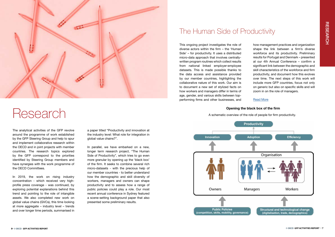The analytical activities of the GFP revolve around the programme of work established by the GFP Steering Group and help to spur and implement collaborative research within the OECD and in joint projects with member countries. The research topics explored by the GFP correspond to the priorities identified by Steering Group members and have synergies with the work programme of the OECD Committees.

In 2019, the work on rising industry concentration - which received very highprofile press coverage - was continued, by exploring potential explanations behind this trend and pointing to the role of intangible assets. We also completed new work on global value chains (GVCs), this time looking at more aggregate – industry level – trends and over longer time periods, summarised in

## The Human Side of Productivity



# Research

a paper titled "Productivity and innovation at the industry level: What role for integration in global value chains?".

In parallel, we have embarked on a new, longer term research project, "The Human Side of Productivity", which tries to go even more granular by opening up the 'black box' of the firm. It seeks to combine several rich micro-datasets - with the precious help of our member countries - to better understand how the demographic and skill diversity of workers, managers and owners can shape productivity and to assess how a range of public policies could play a role. Our most recent annual conference in Sydney featured a scene-setting background paper that also presented some preliminary results.

This ongoing project investigates the role of diverse actors within the firm – the 'Human Side' – for productivity. It uses a distributed micro-data approach that involves centrallywritten program routines which collect results from national linked employer-employee datasets. This is made possible thanks to the data access and assistance provided by our member countries, highlighting the collaborative nature of this work. Our aim is to document a new set of stylized facts on how workers and managers differ in terms of age, gender, and various skills between topperforming firms and other businesses, and

how management practices and organization shape the link between a firm's diverse workforce and its productivity. Preliminary results for Portugal and Denmark – presented at our 4th Annual Conference – confirm a significant link between the demographic and skill characteristics of the workforce and firm productivity, and document how this evolves over time. The next steps of this work will include more GFP countries, focus not only on generic but also on specific skills and will zoom in on the role of managers.

### [Read More](https://www.oecd.org/global-forum-productivity/research/)

### Opening the black box of the firm

A schematic overview of the role of people for firm productivity.

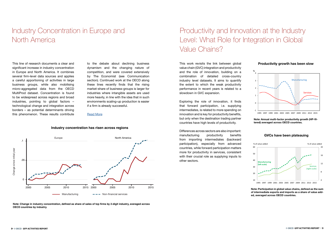This line of research documents a clear and significant increase in industry concentration in Europe and North America. It combines several firm-level data sources and applies a careful apportioning of activities in large business groups, while also mobilising micro-aggregated data from the OECD MultiProd dataset. Concentration is found to be widespread across regions and broad industries, pointing to global factors – technological change and integration across borders – as potential determinants driving this phenomenon. These results contribute

to the debate about declining business dynamism and the changing nature of competition, and were covered extensively by The Economist (see Communication section). Continued work at the OECD along these lines recently finds that the rising market-share of business-groups is larger for industries where intangible assets are used more heavily, in line with the idea that in such environments scaling-up production is easier if a firm is already successful.

### [Read More](https://www.oecd-ilibrary.org/economics/industry-concentration-in-europe-and-north-america_2ff98246-en)

This work revisits the link between global value chain (GVC) integration and productivity and the role of innovation, building on a combination of detailed cross-country industry level datasets. It aims to quantify the extent to which the weak productivity performance in recent years is related to a slowdown in GVC expansion.

Exploring the role of innovation, it finds that forward participation, i.e. supplying intermediates, is related to more spending on innovation and is key for productivity benefits, but only when the destination trading partner countries have high levels of productivity.

Differences across sectors are also important: manufacturing productivity benefits from importing intermediates (backward participation), especially from advanced countries, while forward participation matters more for productivity in services, consistent with their crucial role as supplying inputs to other sectors.

## Industry Concentration in Europe and North America

## Productivity and Innovation at the Industry Level: What Role for Integration in Global Value Chains?



### **Industry concentration has risen across regions**

**Note: Change in industry concentration, defined as share of sales of top firms by 2-digit industry, averaged across OECD countries by industry.**



Note: Annual multi-factor productivity growth (HP-filtered) averaged across OECD countries.



Note: Participation in global value chains, defined as the sum of intermediate exports and imports as a share of value added, averaged across OECD countries.

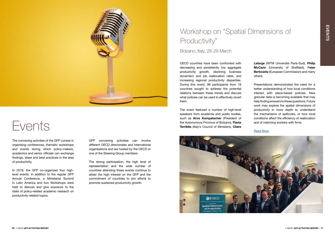## Workshop on "Spatial Dimensions of Productivity"

Bolzano, Italy, 28-29 March



# Events

The convening activities of the GFP consist in organising conferences, thematic workshops and events during which policy-makers, academics and senior officials can exchange findings, ideas and best practices in the area of productivity.

In 2019, the GFP co-organized four highlevel events. In addition to the regular GFP Annual Conference, a Ministerial Summit in Latin America and two Workshops were held to discuss and give exposure to the state of policy-related academic research on productivity-related topics.

The event featured a number of high-level speakers from academia and public bodies, such as Arno Kompatscher (President of the Autonomous Province of Bolzano), Flavia Terribile (Italy's Council of Ministers), Claire



GFP convening activities can involve different OECD directorates and international organisations and are hosted by the OECD or one of the Steering Group members

Lelarge (RITM Université Paris-Sud), Philip McCann (University of Sheffield), Peter Berkowitz (European Commission) and many others.

The strong participation, the high level of representation and the wide number of countries attending these events continue to attest the high interest on the GFP and the commitment of countries to join efforts to promote sustained productivity growth.

OECD countries have been confronted with decreasing and persistently low aggregate productivity growth, declining business dynamism and job reallocation rates, and increasing regional productivity disparities. During this event, 98 participants from 19 countries sought to address the potential relations between these trends and discuss what policies can be used to effectively revert them.

Presentations demonstrated the need for a better understanding of how local conditions interact with place-based policies. New granular data is becoming available that may help finding answers to these questions. Future work may explore the spatial dimensions of productivity in more depth to understand the mechanisms of spillovers, or how local conditions affect the efficiency of reallocation and of matching workers with firms.

### [Read More](https://www.oecd.org/cfe/leed/gfp-bolzano-2019.htm)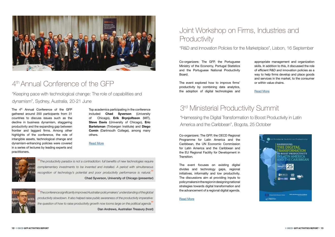

### 4th Annual Conference of the GFP

## Joint Workshop on Firms, Industries and **Productivity**

"Keeping pace with technological change: The role of capabilities and dynamism", Sydney, Australia, 20-21 June

"R&D and Innovation Policies for the Marketplace", Lisbon, 16 September

The 4<sup>th</sup> Annual Conference of the GFP gathered around 200 participants from 31 countries to discuss issues such as the decline in business dynamism, staggering productivity and the expanding gap between frontier and laggard firms. Among other highlights of the conference, the role of intangible assets, technological change and dynamism-enhancing policies were covered in a series of lectures by leading experts and practitioners.

Top academics participating in the conference included Chad Syverson (University of Chicago), Erik Brynjolfsson (MIT), Steve Davis (University of Chicago), Eric Bartelsman (Tinbergen Institute) and Diego Comin (Dartmouth College), among many others.

### [Read More](https://www.oecd.org/global-forum-productivity/events/gfp-sydney.htm)



Co-organizers: The GFP, the Portuguese Ministry of the Economy, Portugal Statistics and the Portuguese National Productivity Board.

The event explored how to improve firms' productivity by combining data analytics, the adoption of digital technologies and appropriate management and organization skills. In addition to this, it discussed the role of efficient R&D and innovation policies as a way to help firms develop and place goods and services in the market, to the consumer or within value chains.

[Read More](http://www.oecd.org/global-forum-productivity/events/workshop-on-rd-and-innovation-policies-for-the-marketplace.htm)

- 
- 



"*The conference significantly improved Australian policymakers' understanding of the global productivity slowdown. It also helped raise public awareness of the productivity imperative: the question of how to raise productivity growth now looms large on the political agenda*"

Dan Andrews, Australian Treasury (host)

### 3rd Ministerial Productivity Summit

"Harnessing the Digital Transformation to Boost Productivity in Latin America and the Caribbean", Bogota, 25 October

Co-organizers: The GFP, the OECD Regional Programme for Latin America and the Caribbean, the UN Economic Commission for Latin America and the Caribbean and the EU Regional Facility for Development in Transition.

The event focuses on existing digital divides and technology gaps, regional initiatives, informality and low productivity. The discussions aim at providing inputs to policymakers in the region in designing national strategies towards digital transformation and the advancement of a regional digital agenda.

### [Read More](http://cumbreproductividad.dnp.gov.co/)

"*The productivity paradox is not a contradiction: full benefits of new technologies require complementary investments to be invented and installed. A period with simultaneous recognition of technology's potential and poor productivity performance is natural.*" Chad Syverson, University of Chicago (presenter)

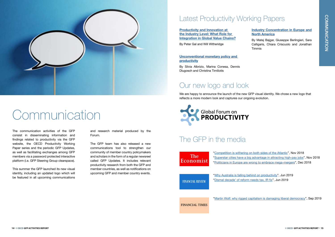

# Communication

## Latest Productivity Working Papers

The communication activities of the GFP consist in disseminating information and findings related to productivity via the GFP website, the OECD Productivity Working Paper series and the periodic GFP Updates, as well as facilitating exchanges among GFP members via a password protected interactive platform (i.e. GFP Steering Group clearspace).

This summer the GFP launched its new visual identity, including an updated logo which will be featured in all upcoming communications

and research material produced by the Forum.

> ["Why Australia is falling behind on productivity"](
https://www.afr.com/technology/wages-hurt-by-low-tech-adoption-and-less-job-switching-20190619-p51zbc), Jun 2019 ["Dismal decade' of reform needs tax, IR fix](https://www.afr.com/policy/economy/dismal-decade-of-reform-needs-tax-ir-fix-20190621-p51zww)", Jun 2019

The GFP team has also released a new communications tool to strengthen our community of member country policymakers and scholars in the form of a regular newsreel called GFP Updates. It includes relevant productivity research from both the GFP and member countries, as well as notifications on upcoming GFP and member country events.

[Industry Concentration in Europe and](https://doi.org/10.1787/24139424)  [North America](https://doi.org/10.1787/24139424)

By Matej Bajgar, Giuseppe Berlingieri, Sara Calligaris, Chiara Criscuolo and Jonathan Timmis

[Unconventional monetary policy and](https://doi.org/10.1787/24139424)  [productivity](https://doi.org/10.1787/24139424)

By Silvia Albrizio, Marina Conesa, Dennis Dlugosch and Christina Timiliotis

### The GFP in the media

**The** Economist

["Competition is withering on both sides of the Atlantic](https://www.economist.com/graphic-detail/2018/11/20/competition-is-withering-on-both-sides-of-the-atlantic)", Nov 2018 ["Superstar cities have a big advantage in attracting high-pay jobs"](https://www.economist.com/finance-and-economics/2018/11/15/superstar-cities-have-a-big-advantage-in-attracting-high-paying-jobs), Nov 2018 ["Politicians in Europe are wrong to embrace mega-mergers"](https://www.economist.com/leaders/2018/12/18/politicians-in-europe-are-wrong-to-embrace-mega-mergers), Dec 2018

**FINANCIAL REVIEW** 

## Our new logo and look

We are happy to announce the launch of the new GFP visual identity. We chose a new logo that reflects a more modern look and captures our ongoing evolution.



[Productivity and Innovation at](https://doi.org/10.1787/24139424)  [the Industry Level: What Role for](https://doi.org/10.1787/24139424)  [Integration in Global Value Chains?](https://doi.org/10.1787/24139424)

By Peter Gal and Will Witheridge

["Martin Wolf: why rigged capitalism is damaging liberal democracy"](https://www.ft.com/content/5a8ab27e-d470-11e9-8367-807ebd53ab77), Sep 2019

**FINANCIAL TIMES**